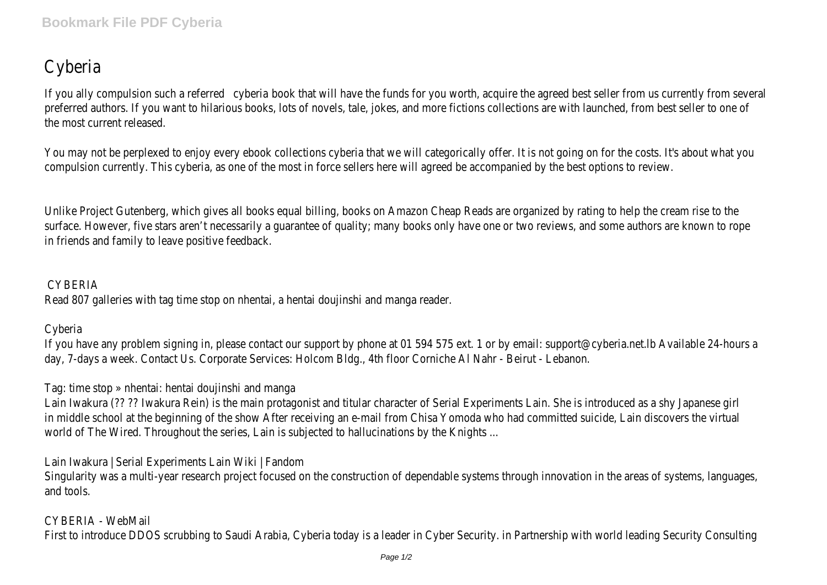## Cyberia

If you ally compulsion such a referred book that will have the funds for you worth, acquire the agreed best seller from us curre preferred authors. If you want to hilarious books, lots of novels, tale, jokes, and more fictions collections are with launched, fr the most current released.

You may not be perplexed to enjoy every ebook collections cyberia that we will categorically offer. It is not going on for the c compulsion currently. This cyberia, as one of the most in force sellers here will agreed be accompanied by the best options to

Unlike Project Gutenberg, which gives all books equal billing, books on Amazon Cheap Reads are organized by rating to help the surface. However, five stars aren't necessarily a guarantee of quality; many books only have one or two reviews, and some au in friends and family to leave positive feedback.

## CYBERIA

Read 807 galleries with tag time stop on nhentai, a hentai doujinshi and manga reader.

## Cyberia

If you have any problem signing in, please contact our support by phone at 01 594 575 ext. 1 or by email: support@cyberia.ne day, 7-days a week. Contact Us. Corporate Services: Holcom Bldg., 4th floor Corniche Al Nahr - Beirut - Lebanon.

Tag: time stop » nhentai: hentai doujinshi and manga

Lain Iwakura (?? ?? Iwakura Rein) is the main protagonist and titular character of Serial Experiments Lain. She is introduced as in middle school at the beginning of the show After receiving an e-mail from Chisa Yomoda who had committed suicide, Lain d world of The Wired. Throughout the series, Lain is subjected to hallucinations by the Knights ...

Lain Iwakura | Serial Experiments Lain Wiki | Fandom

Singularity was a multi-year research project focused on the construction of dependable systems through innovation in the areas of systems, language systems, language in and tools.

CYBERIA - WebMail First to introduce DDOS scrubbing to Saudi Arabia, Cyberia today is a leader in Cyber Security. in Partnership with world leadir